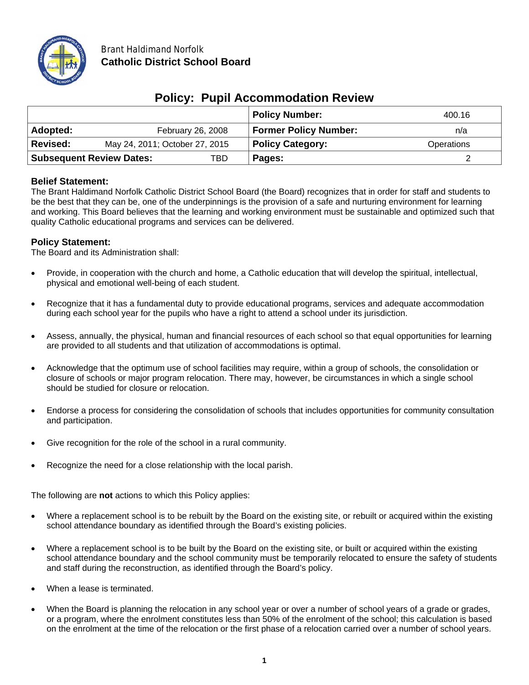

|                                        |                                |                   | <b>Policy Number:</b>        | 400.16     |
|----------------------------------------|--------------------------------|-------------------|------------------------------|------------|
| Adopted:                               |                                | February 26, 2008 | <b>Former Policy Number:</b> | n/a        |
| <b>Revised:</b>                        | May 24, 2011; October 27, 2015 |                   | <b>Policy Category:</b>      | Operations |
| <b>Subsequent Review Dates:</b><br>TBD |                                | Pages:            |                              |            |

# **Policy: Pupil Accommodation Review**

#### **Belief Statement:**

The Brant Haldimand Norfolk Catholic District School Board (the Board) recognizes that in order for staff and students to be the best that they can be, one of the underpinnings is the provision of a safe and nurturing environment for learning and working. This Board believes that the learning and working environment must be sustainable and optimized such that quality Catholic educational programs and services can be delivered.

### **Policy Statement:**

The Board and its Administration shall:

- Provide, in cooperation with the church and home, a Catholic education that will develop the spiritual, intellectual, physical and emotional well-being of each student.
- Recognize that it has a fundamental duty to provide educational programs, services and adequate accommodation during each school year for the pupils who have a right to attend a school under its jurisdiction.
- Assess, annually, the physical, human and financial resources of each school so that equal opportunities for learning are provided to all students and that utilization of accommodations is optimal.
- Acknowledge that the optimum use of school facilities may require, within a group of schools, the consolidation or closure of schools or major program relocation. There may, however, be circumstances in which a single school should be studied for closure or relocation.
- Endorse a process for considering the consolidation of schools that includes opportunities for community consultation and participation.
- Give recognition for the role of the school in a rural community.
- Recognize the need for a close relationship with the local parish.

The following are **not** actions to which this Policy applies:

- Where a replacement school is to be rebuilt by the Board on the existing site, or rebuilt or acquired within the existing school attendance boundary as identified through the Board's existing policies.
- Where a replacement school is to be built by the Board on the existing site, or built or acquired within the existing school attendance boundary and the school community must be temporarily relocated to ensure the safety of students and staff during the reconstruction, as identified through the Board's policy.
- When a lease is terminated.
- When the Board is planning the relocation in any school year or over a number of school years of a grade or grades, or a program, where the enrolment constitutes less than 50% of the enrolment of the school; this calculation is based on the enrolment at the time of the relocation or the first phase of a relocation carried over a number of school years.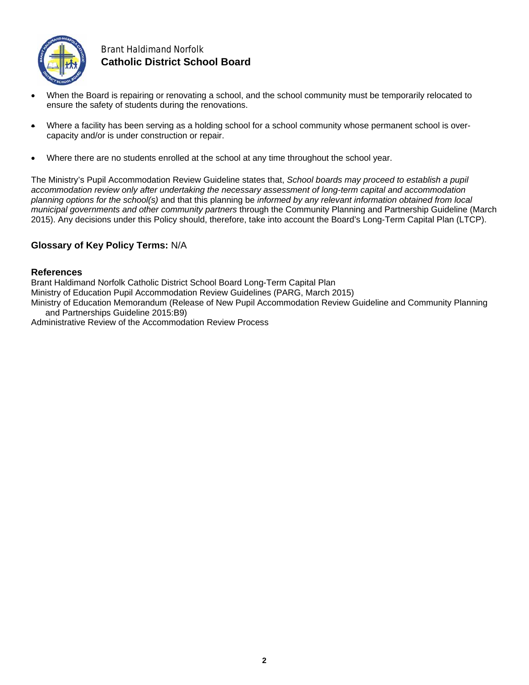

## Brant Haldimand Norfolk **Catholic District School Board**

- When the Board is repairing or renovating a school, and the school community must be temporarily relocated to ensure the safety of students during the renovations.
- Where a facility has been serving as a holding school for a school community whose permanent school is overcapacity and/or is under construction or repair.
- Where there are no students enrolled at the school at any time throughout the school year.

The Ministry's Pupil Accommodation Review Guideline states that, *School boards may proceed to establish a pupil accommodation review only after undertaking the necessary assessment of long-term capital and accommodation planning options for the school(s)* and that this planning be *informed by any relevant information obtained from local municipal governments and other community partners* through the Community Planning and Partnership Guideline (March 2015). Any decisions under this Policy should, therefore, take into account the Board's Long-Term Capital Plan (LTCP).

#### **Glossary of Key Policy Terms:** N/A

#### **References**

Brant Haldimand Norfolk Catholic District School Board Long-Term Capital Plan Ministry of Education Pupil Accommodation Review Guidelines (PARG, March 2015)

Ministry of Education Memorandum (Release of New Pupil Accommodation Review Guideline and Community Planning and Partnerships Guideline 2015:B9)

Administrative Review of the Accommodation Review Process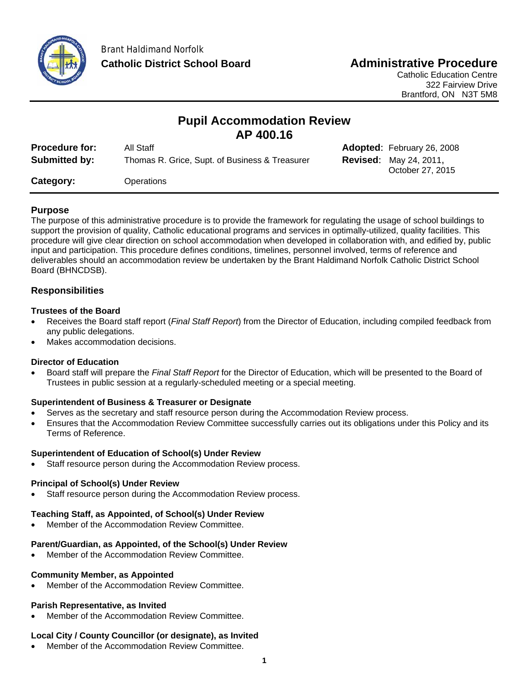

# **Pupil Accommodation Review AP 400.16**

| <b>Procedure for:</b> | All Staff                                      | <b>Adopted:</b> February 26, 2008                 |
|-----------------------|------------------------------------------------|---------------------------------------------------|
| Submitted by:         | Thomas R. Grice, Supt. of Business & Treasurer | <b>Revised: May 24, 2011,</b><br>October 27, 2015 |
| Category:             | Operations                                     |                                                   |

### **Purpose**

The purpose of this administrative procedure is to provide the framework for regulating the usage of school buildings to support the provision of quality, Catholic educational programs and services in optimally-utilized, quality facilities. This procedure will give clear direction on school accommodation when developed in collaboration with, and edified by, public input and participation. This procedure defines conditions, timelines, personnel involved, terms of reference and deliverables should an accommodation review be undertaken by the Brant Haldimand Norfolk Catholic District School Board (BHNCDSB).

### **Responsibilities**

#### **Trustees of the Board**

- Receives the Board staff report (*Final Staff Report*) from the Director of Education, including compiled feedback from any public delegations.
- Makes accommodation decisions.

#### **Director of Education**

 Board staff will prepare the *Final Staff Report* for the Director of Education, which will be presented to the Board of Trustees in public session at a regularly-scheduled meeting or a special meeting.

#### **Superintendent of Business & Treasurer or Designate**

- Serves as the secretary and staff resource person during the Accommodation Review process.
- Ensures that the Accommodation Review Committee successfully carries out its obligations under this Policy and its Terms of Reference.

#### **Superintendent of Education of School(s) Under Review**

Staff resource person during the Accommodation Review process.

#### **Principal of School(s) Under Review**

Staff resource person during the Accommodation Review process.

#### **Teaching Staff, as Appointed, of School(s) Under Review**

Member of the Accommodation Review Committee.

#### **Parent/Guardian, as Appointed, of the School(s) Under Review**

Member of the Accommodation Review Committee.

#### **Community Member, as Appointed**

Member of the Accommodation Review Committee.

#### **Parish Representative, as Invited**

Member of the Accommodation Review Committee.

#### **Local City / County Councillor (or designate), as Invited**

Member of the Accommodation Review Committee.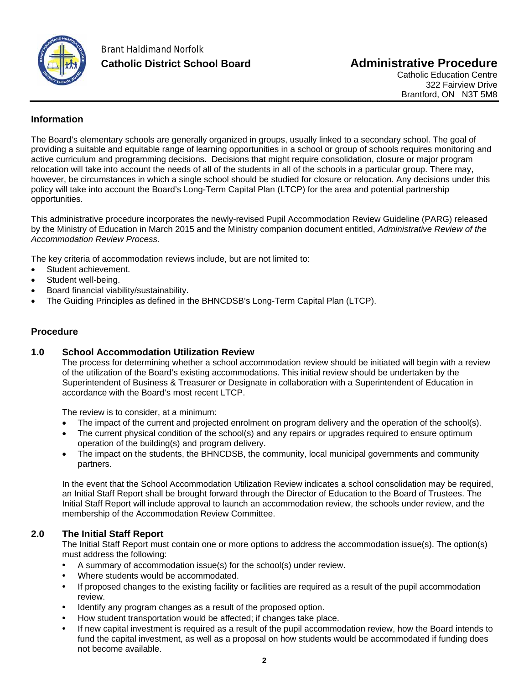

## **Information**

The Board's elementary schools are generally organized in groups, usually linked to a secondary school. The goal of providing a suitable and equitable range of learning opportunities in a school or group of schools requires monitoring and active curriculum and programming decisions. Decisions that might require consolidation, closure or major program relocation will take into account the needs of all of the students in all of the schools in a particular group. There may, however, be circumstances in which a single school should be studied for closure or relocation. Any decisions under this policy will take into account the Board's Long-Term Capital Plan (LTCP) for the area and potential partnership opportunities.

This administrative procedure incorporates the newly-revised Pupil Accommodation Review Guideline (PARG) released by the Ministry of Education in March 2015 and the Ministry companion document entitled, *Administrative Review of the Accommodation Review Process.* 

The key criteria of accommodation reviews include, but are not limited to:

- Student achievement.
- Student well-being.
- Board financial viability/sustainability.
- The Guiding Principles as defined in the BHNCDSB's Long-Term Capital Plan (LTCP).

### **Procedure**

### **1.0 School Accommodation Utilization Review**

The process for determining whether a school accommodation review should be initiated will begin with a review of the utilization of the Board's existing accommodations. This initial review should be undertaken by the Superintendent of Business & Treasurer or Designate in collaboration with a Superintendent of Education in accordance with the Board's most recent LTCP.

The review is to consider, at a minimum:

- The impact of the current and projected enrolment on program delivery and the operation of the school(s).
- The current physical condition of the school(s) and any repairs or upgrades required to ensure optimum operation of the building(s) and program delivery.
- The impact on the students, the BHNCDSB, the community, local municipal governments and community partners.

In the event that the School Accommodation Utilization Review indicates a school consolidation may be required, an Initial Staff Report shall be brought forward through the Director of Education to the Board of Trustees. The Initial Staff Report will include approval to launch an accommodation review, the schools under review, and the membership of the Accommodation Review Committee.

## **2.0 The Initial Staff Report**

The Initial Staff Report must contain one or more options to address the accommodation issue(s). The option(s) must address the following:

- A summary of accommodation issue(s) for the school(s) under review.
- Where students would be accommodated.
- If proposed changes to the existing facility or facilities are required as a result of the pupil accommodation review.
- Identify any program changes as a result of the proposed option.
- How student transportation would be affected; if changes take place.
- If new capital investment is required as a result of the pupil accommodation review, how the Board intends to fund the capital investment, as well as a proposal on how students would be accommodated if funding does not become available.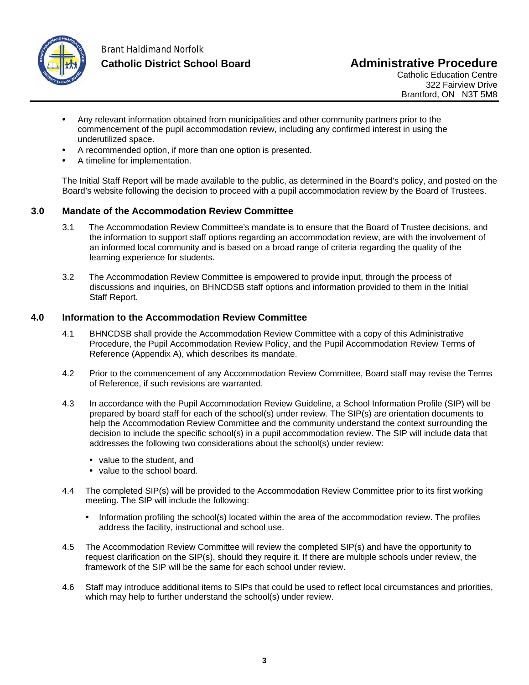

## Brant Haldimand Norfolk **Catholic District School Board Administrative Procedure**

Catholic Education Centre 322 Fairview Drive Brantford, ON N3T 5M8

- Any relevant information obtained from municipalities and other community partners prior to the commencement of the pupil accommodation review, including any confirmed interest in using the underutilized space.
- A recommended option, if more than one option is presented.
- A timeline for implementation.

The Initial Staff Report will be made available to the public, as determined in the Board's policy, and posted on the Board's website following the decision to proceed with a pupil accommodation review by the Board of Trustees.

### **3.0 Mandate of the Accommodation Review Committee**

- 3.1 The Accommodation Review Committee's mandate is to ensure that the Board of Trustee decisions, and the information to support staff options regarding an accommodation review, are with the involvement of an informed local community and is based on a broad range of criteria regarding the quality of the learning experience for students.
- 3.2 The Accommodation Review Committee is empowered to provide input, through the process of discussions and inquiries, on BHNCDSB staff options and information provided to them in the Initial Staff Report.

#### **4.0 Information to the Accommodation Review Committee**

- 4.1 BHNCDSB shall provide the Accommodation Review Committee with a copy of this Administrative Procedure, the Pupil Accommodation Review Policy, and the Pupil Accommodation Review Terms of Reference (Appendix A), which describes its mandate.
- 4.2 Prior to the commencement of any Accommodation Review Committee, Board staff may revise the Terms of Reference, if such revisions are warranted.
- 4.3 In accordance with the Pupil Accommodation Review Guideline, a School Information Profile (SIP) will be prepared by board staff for each of the school(s) under review. The SIP(s) are orientation documents to help the Accommodation Review Committee and the community understand the context surrounding the decision to include the specific school(s) in a pupil accommodation review. The SIP will include data that addresses the following two considerations about the school(s) under review:
	- value to the student, and
	- value to the school board.
- 4.4 The completed SIP(s) will be provided to the Accommodation Review Committee prior to its first working meeting. The SIP will include the following:
	- Information profiling the school(s) located within the area of the accommodation review. The profiles address the facility, instructional and school use.
- 4.5 The Accommodation Review Committee will review the completed SIP(s) and have the opportunity to request clarification on the SIP(s), should they require it. If there are multiple schools under review, the framework of the SIP will be the same for each school under review.
- 4.6 Staff may introduce additional items to SIPs that could be used to reflect local circumstances and priorities, which may help to further understand the school(s) under review.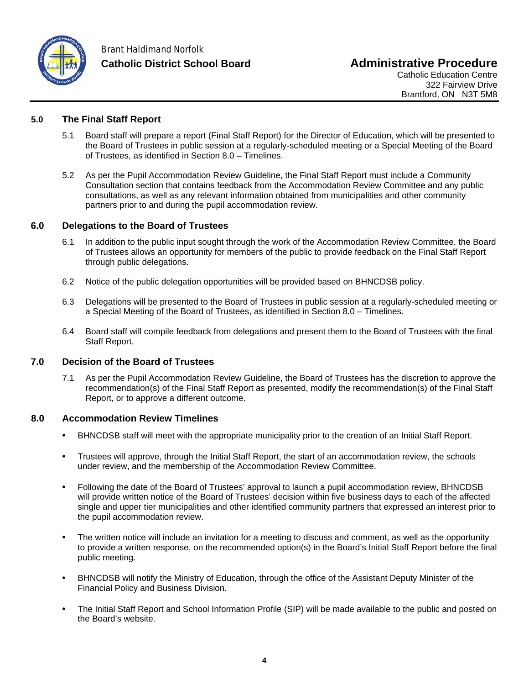

### **5.0 The Final Staff Report**

- 5.1 Board staff will prepare a report (Final Staff Report) for the Director of Education, which will be presented to the Board of Trustees in public session at a regularly-scheduled meeting or a Special Meeting of the Board of Trustees, as identified in Section 8.0 – Timelines.
- 5.2 As per the Pupil Accommodation Review Guideline, the Final Staff Report must include a Community Consultation section that contains feedback from the Accommodation Review Committee and any public consultations, as well as any relevant information obtained from municipalities and other community partners prior to and during the pupil accommodation review.

#### **6.0 Delegations to the Board of Trustees**

- 6.1 In addition to the public input sought through the work of the Accommodation Review Committee, the Board of Trustees allows an opportunity for members of the public to provide feedback on the Final Staff Report through public delegations.
- 6.2 Notice of the public delegation opportunities will be provided based on BHNCDSB policy.
- 6.3 Delegations will be presented to the Board of Trustees in public session at a regularly-scheduled meeting or a Special Meeting of the Board of Trustees, as identified in Section 8.0 – Timelines.
- 6.4 Board staff will compile feedback from delegations and present them to the Board of Trustees with the final Staff Report.

#### **7.0 Decision of the Board of Trustees**

7.1 As per the Pupil Accommodation Review Guideline, the Board of Trustees has the discretion to approve the recommendation(s) of the Final Staff Report as presented, modify the recommendation(s) of the Final Staff Report, or to approve a different outcome.

#### **8.0 Accommodation Review Timelines**

- BHNCDSB staff will meet with the appropriate municipality prior to the creation of an Initial Staff Report.
- Trustees will approve, through the Initial Staff Report, the start of an accommodation review, the schools under review, and the membership of the Accommodation Review Committee.
- Following the date of the Board of Trustees' approval to launch a pupil accommodation review, BHNCDSB will provide written notice of the Board of Trustees' decision within five business days to each of the affected single and upper tier municipalities and other identified community partners that expressed an interest prior to the pupil accommodation review.
- The written notice will include an invitation for a meeting to discuss and comment, as well as the opportunity to provide a written response, on the recommended option(s) in the Board's Initial Staff Report before the final public meeting.
- BHNCDSB will notify the Ministry of Education, through the office of the Assistant Deputy Minister of the Financial Policy and Business Division.
- The Initial Staff Report and School Information Profile (SIP) will be made available to the public and posted on the Board's website.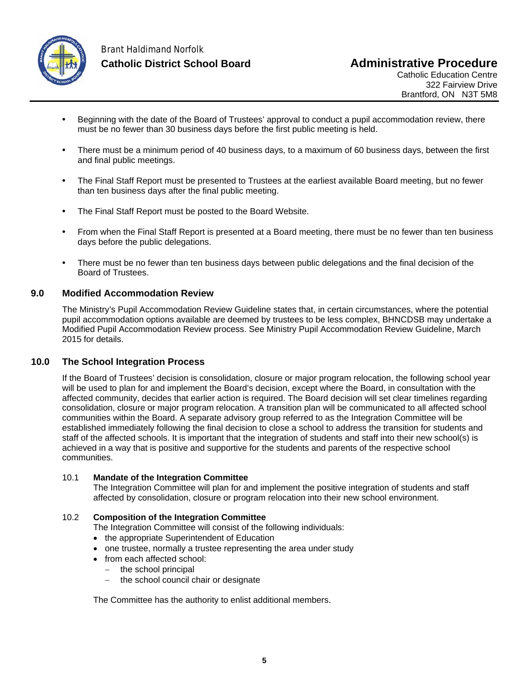

## Brant Haldimand Norfolk **Catholic District School Board Administrative Procedure**

Catholic Education Centre 322 Fairview Drive Brantford, ON N3T 5M8

- Beginning with the date of the Board of Trustees' approval to conduct a pupil accommodation review, there must be no fewer than 30 business days before the first public meeting is held.
- There must be a minimum period of 40 business days, to a maximum of 60 business days, between the first and final public meetings.
- The Final Staff Report must be presented to Trustees at the earliest available Board meeting, but no fewer than ten business days after the final public meeting.
- The Final Staff Report must be posted to the Board Website.
- From when the Final Staff Report is presented at a Board meeting, there must be no fewer than ten business days before the public delegations.
- There must be no fewer than ten business days between public delegations and the final decision of the Board of Trustees.

### **9.0 Modified Accommodation Review**

The Ministry's Pupil Accommodation Review Guideline states that, in certain circumstances, where the potential pupil accommodation options available are deemed by trustees to be less complex, BHNCDSB may undertake a Modified Pupil Accommodation Review process. See Ministry Pupil Accommodation Review Guideline, March 2015 for details.

#### **10.0 The School Integration Process**

If the Board of Trustees' decision is consolidation, closure or major program relocation, the following school year will be used to plan for and implement the Board's decision, except where the Board, in consultation with the affected community, decides that earlier action is required. The Board decision will set clear timelines regarding consolidation, closure or major program relocation. A transition plan will be communicated to all affected school communities within the Board. A separate advisory group referred to as the Integration Committee will be established immediately following the final decision to close a school to address the transition for students and staff of the affected schools. It is important that the integration of students and staff into their new school(s) is achieved in a way that is positive and supportive for the students and parents of the respective school communities.

#### 10.1 **Mandate of the Integration Committee**

The Integration Committee will plan for and implement the positive integration of students and staff affected by consolidation, closure or program relocation into their new school environment.

#### 10.2 **Composition of the Integration Committee**

The Integration Committee will consist of the following individuals:

- the appropriate Superintendent of Education
- one trustee, normally a trustee representing the area under study
- from each affected school:
	- $-$  the school principal
	- the school council chair or designate

The Committee has the authority to enlist additional members.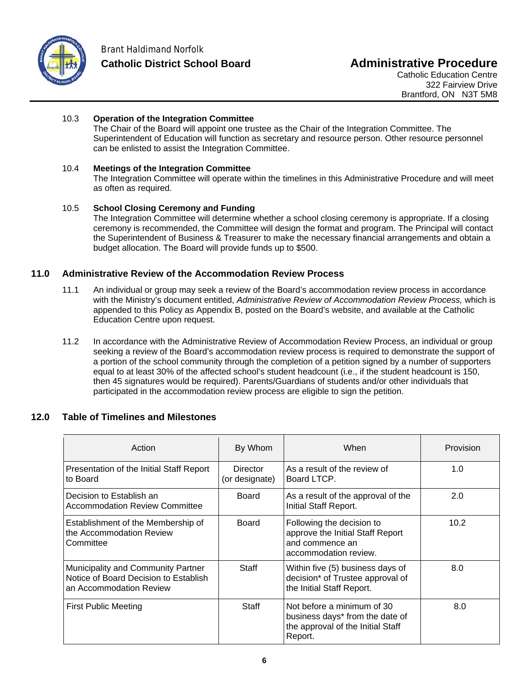

#### 10.3 **Operation of the Integration Committee**

The Chair of the Board will appoint one trustee as the Chair of the Integration Committee. The Superintendent of Education will function as secretary and resource person. Other resource personnel can be enlisted to assist the Integration Committee.

#### 10.4 **Meetings of the Integration Committee**

The Integration Committee will operate within the timelines in this Administrative Procedure and will meet as often as required.

#### 10.5 **School Closing Ceremony and Funding**

The Integration Committee will determine whether a school closing ceremony is appropriate. If a closing ceremony is recommended, the Committee will design the format and program. The Principal will contact the Superintendent of Business & Treasurer to make the necessary financial arrangements and obtain a budget allocation. The Board will provide funds up to \$500.

### **11.0 Administrative Review of the Accommodation Review Process**

- 11.1 An individual or group may seek a review of the Board's accommodation review process in accordance with the Ministry's document entitled, *Administrative Review of Accommodation Review Process,* which is appended to this Policy as Appendix B, posted on the Board's website, and available at the Catholic Education Centre upon request.
- 11.2 In accordance with the Administrative Review of Accommodation Review Process, an individual or group seeking a review of the Board's accommodation review process is required to demonstrate the support of a portion of the school community through the completion of a petition signed by a number of supporters equal to at least 30% of the affected school's student headcount (i.e., if the student headcount is 150, then 45 signatures would be required). Parents/Guardians of students and/or other individuals that participated in the accommodation review process are eligible to sign the petition.

#### **12.0 Table of Timelines and Milestones**

| Action                                                                                                 | By Whom                           | When                                                                                                          | Provision |
|--------------------------------------------------------------------------------------------------------|-----------------------------------|---------------------------------------------------------------------------------------------------------------|-----------|
| Presentation of the Initial Staff Report<br>to Board                                                   | <b>Director</b><br>(or designate) | As a result of the review of<br>Board LTCP.                                                                   | 1.0       |
| Decision to Establish an<br><b>Accommodation Review Committee</b>                                      | Board                             | As a result of the approval of the<br>Initial Staff Report.                                                   | 2.0       |
| Establishment of the Membership of<br>the Accommodation Review<br>Committee                            | Board                             | Following the decision to<br>approve the Initial Staff Report<br>and commence an<br>accommodation review.     | 10.2      |
| Municipality and Community Partner<br>Notice of Board Decision to Establish<br>an Accommodation Review | Staff                             | Within five (5) business days of<br>decision* of Trustee approval of<br>the Initial Staff Report.             | 8.0       |
| First Public Meeting                                                                                   | Staff                             | Not before a minimum of 30<br>business days* from the date of<br>the approval of the Initial Staff<br>Report. | 8.0       |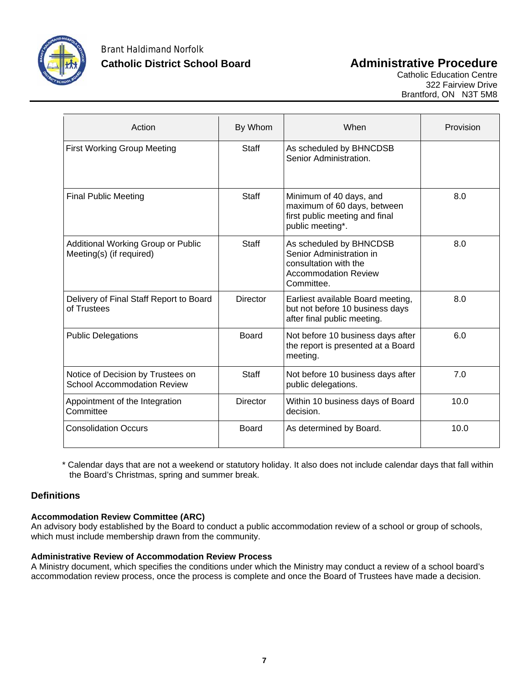

| Action                                                                  | By Whom         | When                                                                                                                      | Provision |
|-------------------------------------------------------------------------|-----------------|---------------------------------------------------------------------------------------------------------------------------|-----------|
| <b>First Working Group Meeting</b>                                      | <b>Staff</b>    | As scheduled by BHNCDSB<br>Senior Administration.                                                                         |           |
| <b>Final Public Meeting</b>                                             | <b>Staff</b>    | Minimum of 40 days, and<br>maximum of 60 days, between<br>first public meeting and final<br>public meeting*.              | 8.0       |
| Additional Working Group or Public<br>Meeting(s) (if required)          | Staff           | As scheduled by BHNCDSB<br>Senior Administration in<br>consultation with the<br><b>Accommodation Review</b><br>Committee. | 8.0       |
| Delivery of Final Staff Report to Board<br>of Trustees                  | <b>Director</b> | Earliest available Board meeting,<br>but not before 10 business days<br>after final public meeting.                       | 8.0       |
| <b>Public Delegations</b>                                               | <b>Board</b>    | Not before 10 business days after<br>the report is presented at a Board<br>meeting.                                       | 6.0       |
| Notice of Decision by Trustees on<br><b>School Accommodation Review</b> | <b>Staff</b>    | Not before 10 business days after<br>public delegations.                                                                  | 7.0       |
| Appointment of the Integration<br>Committee                             | <b>Director</b> | Within 10 business days of Board<br>decision.                                                                             | 10.0      |
| <b>Consolidation Occurs</b>                                             | Board           | As determined by Board.                                                                                                   | 10.0      |

\* Calendar days that are not a weekend or statutory holiday. It also does not include calendar days that fall within the Board's Christmas, spring and summer break.

### **Definitions**

#### **Accommodation Review Committee (ARC)**

An advisory body established by the Board to conduct a public accommodation review of a school or group of schools, which must include membership drawn from the community.

#### **Administrative Review of Accommodation Review Process**

A Ministry document, which specifies the conditions under which the Ministry may conduct a review of a school board's accommodation review process, once the process is complete and once the Board of Trustees have made a decision.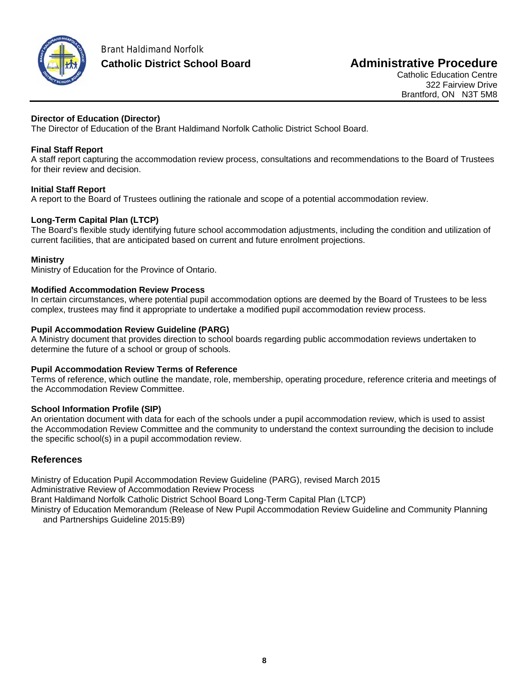

### **Director of Education (Director)**

The Director of Education of the Brant Haldimand Norfolk Catholic District School Board.

## **Final Staff Report**

A staff report capturing the accommodation review process, consultations and recommendations to the Board of Trustees for their review and decision.

## **Initial Staff Report**

A report to the Board of Trustees outlining the rationale and scope of a potential accommodation review.

## **Long-Term Capital Plan (LTCP)**

The Board's flexible study identifying future school accommodation adjustments, including the condition and utilization of current facilities, that are anticipated based on current and future enrolment projections.

#### **Ministry**

Ministry of Education for the Province of Ontario.

#### **Modified Accommodation Review Process**

In certain circumstances, where potential pupil accommodation options are deemed by the Board of Trustees to be less complex, trustees may find it appropriate to undertake a modified pupil accommodation review process.

#### **Pupil Accommodation Review Guideline (PARG)**

A Ministry document that provides direction to school boards regarding public accommodation reviews undertaken to determine the future of a school or group of schools.

#### **Pupil Accommodation Review Terms of Reference**

Terms of reference, which outline the mandate, role, membership, operating procedure, reference criteria and meetings of the Accommodation Review Committee.

#### **School Information Profile (SIP)**

An orientation document with data for each of the schools under a pupil accommodation review, which is used to assist the Accommodation Review Committee and the community to understand the context surrounding the decision to include the specific school(s) in a pupil accommodation review.

### **References**

Ministry of Education Pupil Accommodation Review Guideline (PARG), revised March 2015 Administrative Review of Accommodation Review Process Brant Haldimand Norfolk Catholic District School Board Long-Term Capital Plan (LTCP) Ministry of Education Memorandum (Release of New Pupil Accommodation Review Guideline and Community Planning and Partnerships Guideline 2015:B9)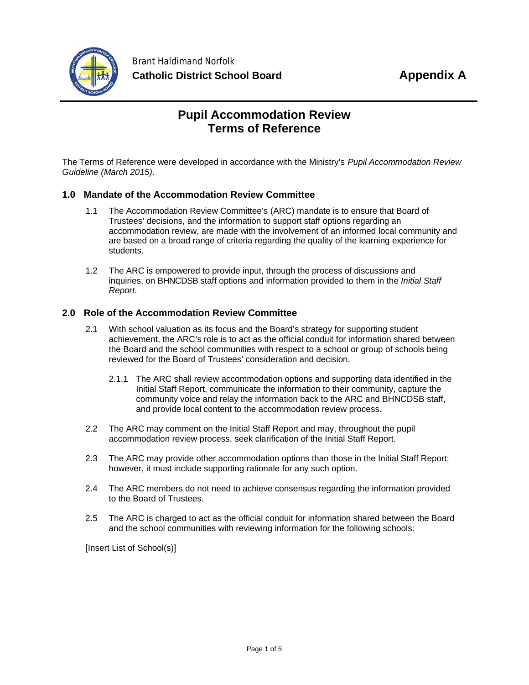

# **Pupil Accommodation Review Terms of Reference**

The Terms of Reference were developed in accordance with the Ministry's *Pupil Accommodation Review Guideline (March 2015)*.

### **1.0 Mandate of the Accommodation Review Committee**

- 1.1 The Accommodation Review Committee's (ARC) mandate is to ensure that Board of Trustees' decisions, and the information to support staff options regarding an accommodation review, are made with the involvement of an informed local community and are based on a broad range of criteria regarding the quality of the learning experience for students.
- 1.2 The ARC is empowered to provide input, through the process of discussions and inquiries, on BHNCDSB staff options and information provided to them in the *Initial Staff Report*.

#### **2.0 Role of the Accommodation Review Committee**

- 2.1 With school valuation as its focus and the Board's strategy for supporting student achievement, the ARC's role is to act as the official conduit for information shared between the Board and the school communities with respect to a school or group of schools being reviewed for the Board of Trustees' consideration and decision.
	- 2.1.1 The ARC shall review accommodation options and supporting data identified in the Initial Staff Report, communicate the information to their community, capture the community voice and relay the information back to the ARC and BHNCDSB staff, and provide local content to the accommodation review process.
- 2.2 The ARC may comment on the Initial Staff Report and may, throughout the pupil accommodation review process, seek clarification of the Initial Staff Report.
- 2.3 The ARC may provide other accommodation options than those in the Initial Staff Report; however, it must include supporting rationale for any such option.
- 2.4 The ARC members do not need to achieve consensus regarding the information provided to the Board of Trustees.
- 2.5 The ARC is charged to act as the official conduit for information shared between the Board and the school communities with reviewing information for the following schools:

[Insert List of School(s)]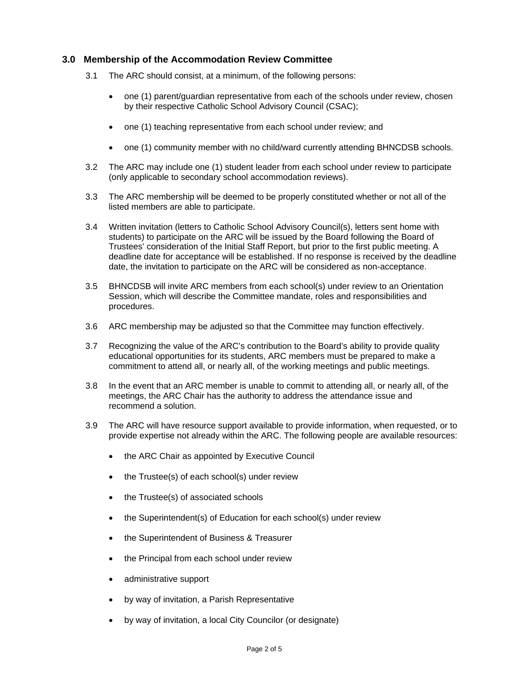#### **3.0 Membership of the Accommodation Review Committee**

- 3.1 The ARC should consist, at a minimum, of the following persons:
	- one (1) parent/guardian representative from each of the schools under review, chosen by their respective Catholic School Advisory Council (CSAC);
	- one (1) teaching representative from each school under review; and
	- one (1) community member with no child/ward currently attending BHNCDSB schools.
- 3.2 The ARC may include one (1) student leader from each school under review to participate (only applicable to secondary school accommodation reviews).
- 3.3 The ARC membership will be deemed to be properly constituted whether or not all of the listed members are able to participate.
- 3.4 Written invitation (letters to Catholic School Advisory Council(s), letters sent home with students) to participate on the ARC will be issued by the Board following the Board of Trustees' consideration of the Initial Staff Report, but prior to the first public meeting. A deadline date for acceptance will be established. If no response is received by the deadline date, the invitation to participate on the ARC will be considered as non-acceptance.
- 3.5 BHNCDSB will invite ARC members from each school(s) under review to an Orientation Session, which will describe the Committee mandate, roles and responsibilities and procedures.
- 3.6 ARC membership may be adjusted so that the Committee may function effectively.
- 3.7 Recognizing the value of the ARC's contribution to the Board's ability to provide quality educational opportunities for its students, ARC members must be prepared to make a commitment to attend all, or nearly all, of the working meetings and public meetings.
- 3.8 In the event that an ARC member is unable to commit to attending all, or nearly all, of the meetings, the ARC Chair has the authority to address the attendance issue and recommend a solution.
- 3.9 The ARC will have resource support available to provide information, when requested, or to provide expertise not already within the ARC. The following people are available resources:
	- the ARC Chair as appointed by Executive Council
	- the Trustee(s) of each school(s) under review
	- the Trustee(s) of associated schools
	- the Superintendent(s) of Education for each school(s) under review
	- the Superintendent of Business & Treasurer
	- the Principal from each school under review
	- administrative support
	- by way of invitation, a Parish Representative
	- by way of invitation, a local City Councilor (or designate)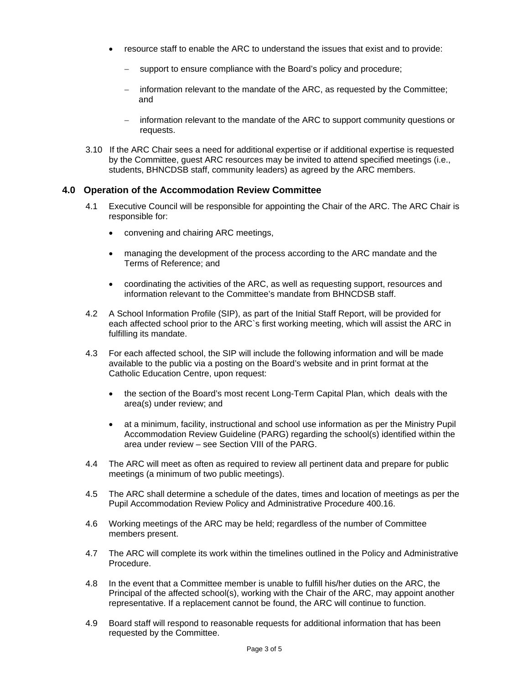- resource staff to enable the ARC to understand the issues that exist and to provide:
	- support to ensure compliance with the Board's policy and procedure;
	- information relevant to the mandate of the ARC, as requested by the Committee; and
	- information relevant to the mandate of the ARC to support community questions or requests.
- 3.10 If the ARC Chair sees a need for additional expertise or if additional expertise is requested by the Committee, guest ARC resources may be invited to attend specified meetings (i.e., students, BHNCDSB staff, community leaders) as agreed by the ARC members.

#### **4.0 Operation of the Accommodation Review Committee**

- 4.1 Executive Council will be responsible for appointing the Chair of the ARC. The ARC Chair is responsible for:
	- convening and chairing ARC meetings,
	- managing the development of the process according to the ARC mandate and the Terms of Reference; and
	- coordinating the activities of the ARC, as well as requesting support, resources and information relevant to the Committee's mandate from BHNCDSB staff.
- 4.2 A School Information Profile (SIP), as part of the Initial Staff Report, will be provided for each affected school prior to the ARC`s first working meeting, which will assist the ARC in fulfilling its mandate.
- 4.3 For each affected school, the SIP will include the following information and will be made available to the public via a posting on the Board's website and in print format at the Catholic Education Centre, upon request:
	- the section of the Board's most recent Long-Term Capital Plan, which deals with the area(s) under review; and
	- at a minimum, facility, instructional and school use information as per the Ministry Pupil Accommodation Review Guideline (PARG) regarding the school(s) identified within the area under review – see Section VIII of the PARG.
- 4.4 The ARC will meet as often as required to review all pertinent data and prepare for public meetings (a minimum of two public meetings).
- 4.5 The ARC shall determine a schedule of the dates, times and location of meetings as per the Pupil Accommodation Review Policy and Administrative Procedure 400.16.
- 4.6 Working meetings of the ARC may be held; regardless of the number of Committee members present.
- 4.7 The ARC will complete its work within the timelines outlined in the Policy and Administrative Procedure.
- 4.8 In the event that a Committee member is unable to fulfill his/her duties on the ARC, the Principal of the affected school(s), working with the Chair of the ARC, may appoint another representative. If a replacement cannot be found, the ARC will continue to function.
- 4.9 Board staff will respond to reasonable requests for additional information that has been requested by the Committee.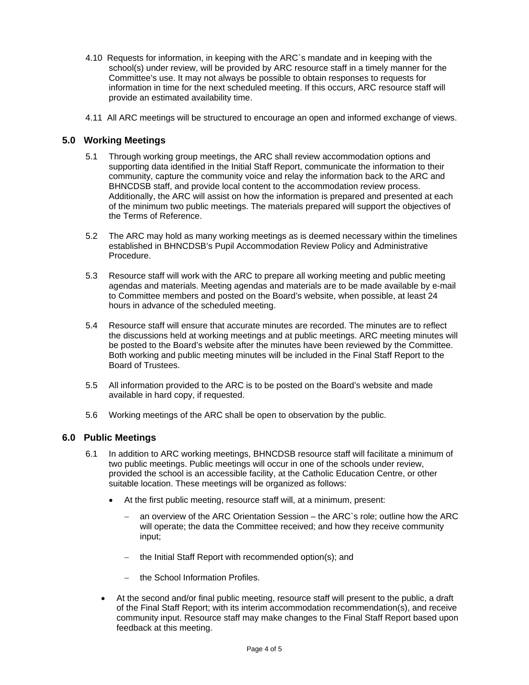- 4.10 Requests for information, in keeping with the ARC`s mandate and in keeping with the school(s) under review, will be provided by ARC resource staff in a timely manner for the Committee's use. It may not always be possible to obtain responses to requests for information in time for the next scheduled meeting. If this occurs, ARC resource staff will provide an estimated availability time.
- 4.11 All ARC meetings will be structured to encourage an open and informed exchange of views.

#### **5.0 Working Meetings**

- 5.1 Through working group meetings, the ARC shall review accommodation options and supporting data identified in the Initial Staff Report, communicate the information to their community, capture the community voice and relay the information back to the ARC and BHNCDSB staff, and provide local content to the accommodation review process. Additionally, the ARC will assist on how the information is prepared and presented at each of the minimum two public meetings. The materials prepared will support the objectives of the Terms of Reference.
- 5.2 The ARC may hold as many working meetings as is deemed necessary within the timelines established in BHNCDSB's Pupil Accommodation Review Policy and Administrative Procedure.
- 5.3 Resource staff will work with the ARC to prepare all working meeting and public meeting agendas and materials. Meeting agendas and materials are to be made available by e-mail to Committee members and posted on the Board's website, when possible, at least 24 hours in advance of the scheduled meeting.
- 5.4 Resource staff will ensure that accurate minutes are recorded. The minutes are to reflect the discussions held at working meetings and at public meetings. ARC meeting minutes will be posted to the Board's website after the minutes have been reviewed by the Committee. Both working and public meeting minutes will be included in the Final Staff Report to the Board of Trustees.
- 5.5 All information provided to the ARC is to be posted on the Board's website and made available in hard copy, if requested.
- 5.6 Working meetings of the ARC shall be open to observation by the public.

#### **6.0 Public Meetings**

- 6.1 In addition to ARC working meetings, BHNCDSB resource staff will facilitate a minimum of two public meetings. Public meetings will occur in one of the schools under review, provided the school is an accessible facility, at the Catholic Education Centre, or other suitable location. These meetings will be organized as follows:
	- At the first public meeting, resource staff will, at a minimum, present:
		- an overview of the ARC Orientation Session the ARC`s role; outline how the ARC will operate; the data the Committee received; and how they receive community input;
		- the Initial Staff Report with recommended option(s); and
		- $-$  the School Information Profiles.
	- At the second and/or final public meeting, resource staff will present to the public, a draft of the Final Staff Report; with its interim accommodation recommendation(s), and receive community input. Resource staff may make changes to the Final Staff Report based upon feedback at this meeting.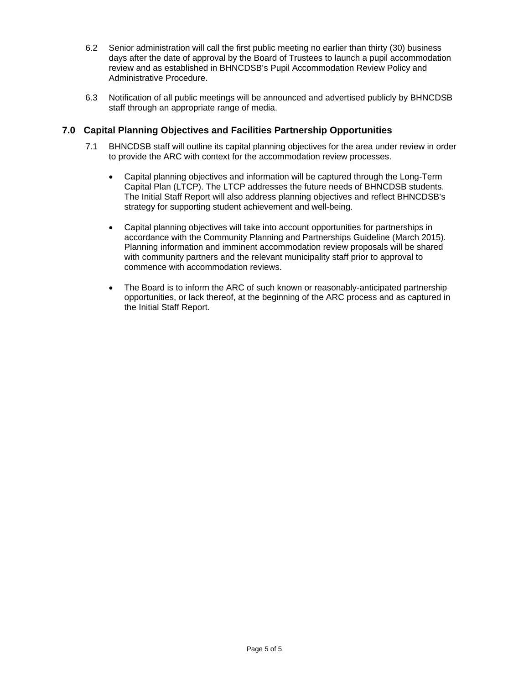- 6.2 Senior administration will call the first public meeting no earlier than thirty (30) business days after the date of approval by the Board of Trustees to launch a pupil accommodation review and as established in BHNCDSB's Pupil Accommodation Review Policy and Administrative Procedure.
- 6.3 Notification of all public meetings will be announced and advertised publicly by BHNCDSB staff through an appropriate range of media.

#### **7.0 Capital Planning Objectives and Facilities Partnership Opportunities**

- 7.1 BHNCDSB staff will outline its capital planning objectives for the area under review in order to provide the ARC with context for the accommodation review processes.
	- Capital planning objectives and information will be captured through the Long-Term Capital Plan (LTCP). The LTCP addresses the future needs of BHNCDSB students. The Initial Staff Report will also address planning objectives and reflect BHNCDSB's strategy for supporting student achievement and well-being.
	- Capital planning objectives will take into account opportunities for partnerships in accordance with the Community Planning and Partnerships Guideline (March 2015). Planning information and imminent accommodation review proposals will be shared with community partners and the relevant municipality staff prior to approval to commence with accommodation reviews.
	- The Board is to inform the ARC of such known or reasonably-anticipated partnership opportunities, or lack thereof, at the beginning of the ARC process and as captured in the Initial Staff Report.